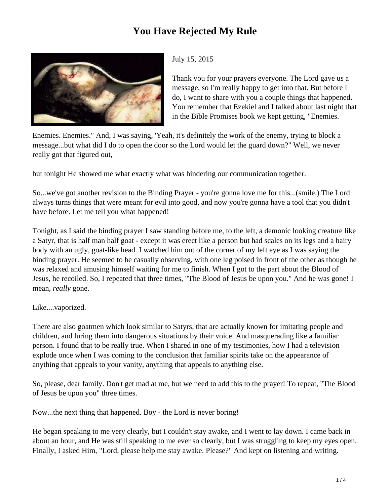

## July 15, 2015

Thank you for your prayers everyone. The Lord gave us a message, so I'm really happy to get into that. But before I do, I want to share with you a couple things that happened. You remember that Ezekiel and I talked about last night that in the Bible Promises book we kept getting, "Enemies.

Enemies. Enemies." And, I was saying, 'Yeah, it's definitely the work of the enemy, trying to block a message...but what did I do to open the door so the Lord would let the guard down?" Well, we never really got that figured out,

but tonight He showed me what exactly what was hindering our communication together.

So...we've got another revision to the Binding Prayer - you're gonna love me for this...(smile.) The Lord always turns things that were meant for evil into good, and now you're gonna have a tool that you didn't have before. Let me tell you what happened!

Tonight, as I said the binding prayer I saw standing before me, to the left, a demonic looking creature like a Satyr, that is half man half goat - except it was erect like a person but had scales on its legs and a hairy body with an ugly, goat-like head. I watched him out of the corner of my left eye as I was saying the binding prayer. He seemed to be casually observing, with one leg poised in front of the other as though he was relaxed and amusing himself waiting for me to finish. When I got to the part about the Blood of Jesus, he recoiled. So, I repeated that three times, "The Blood of Jesus be upon you." And he was gone! I mean, *really* gone.

## Like....vaporized.

There are also goatmen which look similar to Satyrs, that are actually known for imitating people and children, and luring them into dangerous situations by their voice. And masquerading like a familiar person. I found that to be really true. When I shared in one of my testimonies, how I had a television explode once when I was coming to the conclusion that familiar spirits take on the appearance of anything that appeals to your vanity, anything that appeals to anything else.

So, please, dear family. Don't get mad at me, but we need to add this to the prayer! To repeat, "The Blood of Jesus be upon you" three times.

Now...the next thing that happened. Boy - the Lord is never boring!

He began speaking to me very clearly, but I couldn't stay awake, and I went to lay down. I came back in about an hour, and He was still speaking to me ever so clearly, but I was struggling to keep my eyes open. Finally, I asked Him, "Lord, please help me stay awake. Please?" And kept on listening and writing.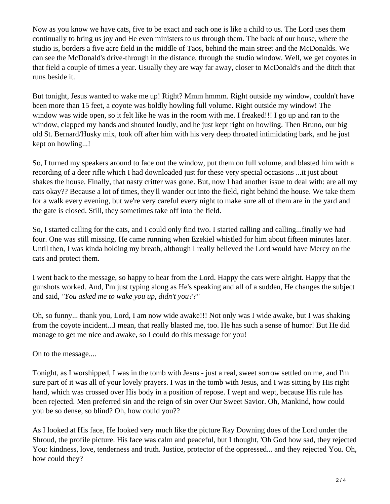Now as you know we have cats, five to be exact and each one is like a child to us. The Lord uses them continually to bring us joy and He even ministers to us through them. The back of our house, where the studio is, borders a five acre field in the middle of Taos, behind the main street and the McDonalds. We can see the McDonald's drive-through in the distance, through the studio window. Well, we get coyotes in that field a couple of times a year. Usually they are way far away, closer to McDonald's and the ditch that runs beside it.

But tonight, Jesus wanted to wake me up! Right? Mmm hmmm. Right outside my window, couldn't have been more than 15 feet, a coyote was boldly howling full volume. Right outside my window! The window was wide open, so it felt like he was in the room with me. I freaked!!! I go up and ran to the window, clapped my hands and shouted loudly, and he just kept right on howling. Then Bruno, our big old St. Bernard/Husky mix, took off after him with his very deep throated intimidating bark, and he just kept on howling...!

So, I turned my speakers around to face out the window, put them on full volume, and blasted him with a recording of a deer rifle which I had downloaded just for these very special occasions ...it just about shakes the house. Finally, that nasty critter was gone. But, now I had another issue to deal with: are all my cats okay?? Because a lot of times, they'll wander out into the field, right behind the house. We take them for a walk every evening, but we're very careful every night to make sure all of them are in the yard and the gate is closed. Still, they sometimes take off into the field.

So, I started calling for the cats, and I could only find two. I started calling and calling...finally we had four. One was still missing. He came running when Ezekiel whistled for him about fifteen minutes later. Until then, I was kinda holding my breath, although I really believed the Lord would have Mercy on the cats and protect them.

I went back to the message, so happy to hear from the Lord. Happy the cats were alright. Happy that the gunshots worked. And, I'm just typing along as He's speaking and all of a sudden, He changes the subject and said, *"You asked me to wake you up, didn't you??"*

Oh, so funny... thank you, Lord, I am now wide awake!!! Not only was I wide awake, but I was shaking from the coyote incident...I mean, that really blasted me, too. He has such a sense of humor! But He did manage to get me nice and awake, so I could do this message for you!

On to the message....

Tonight, as I worshipped, I was in the tomb with Jesus - just a real, sweet sorrow settled on me, and I'm sure part of it was all of your lovely prayers. I was in the tomb with Jesus, and I was sitting by His right hand, which was crossed over His body in a position of repose. I wept and wept, because His rule has been rejected. Men preferred sin and the reign of sin over Our Sweet Savior. Oh, Mankind, how could you be so dense, so blind? Oh, how could you??

As I looked at His face, He looked very much like the picture Ray Downing does of the Lord under the Shroud, the profile picture. His face was calm and peaceful, but I thought, 'Oh God how sad, they rejected You: kindness, love, tenderness and truth. Justice, protector of the oppressed... and they rejected You. Oh, how could they?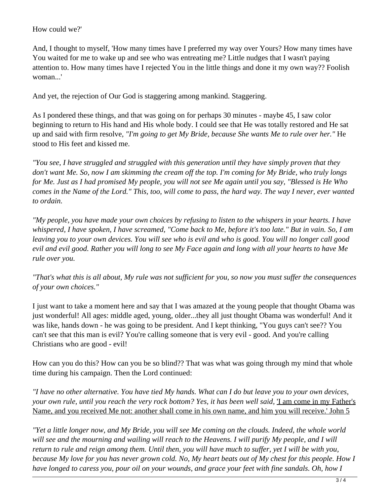## How could we?'

And, I thought to myself, 'How many times have I preferred my way over Yours? How many times have You waited for me to wake up and see who was entreating me? Little nudges that I wasn't paying attention to. How many times have I rejected You in the little things and done it my own way?? Foolish woman...'

And yet, the rejection of Our God is staggering among mankind. Staggering.

As I pondered these things, and that was going on for perhaps 30 minutes - maybe 45, I saw color beginning to return to His hand and His whole body. I could see that He was totally restored and He sat up and said with firm resolve*, "I'm going to get My Bride, because She wants Me to rule over her."* He stood to His feet and kissed me.

*"You see, I have struggled and struggled with this generation until they have simply proven that they don't want Me. So, now I am skimming the cream off the top. I'm coming for My Bride, who truly longs for Me. Just as I had promised My people, you will not see Me again until you say, "Blessed is He Who comes in the Name of the Lord." This, too, will come to pass, the hard way. The way I never, ever wanted to ordain.*

*"My people, you have made your own choices by refusing to listen to the whispers in your hearts. I have whispered, I have spoken, I have screamed, "Come back to Me, before it's too late." But in vain. So, I am leaving you to your own devices. You will see who is evil and who is good. You will no longer call good evil and evil good. Rather you will long to see My Face again and long with all your hearts to have Me rule over you.*

*"That's what this is all about, My rule was not sufficient for you, so now you must suffer the consequences of your own choices."*

I just want to take a moment here and say that I was amazed at the young people that thought Obama was just wonderful! All ages: middle aged, young, older...they all just thought Obama was wonderful! And it was like, hands down - he was going to be president. And I kept thinking, "You guys can't see?? You can't see that this man is evil? You're calling someone that is very evil - good. And you're calling Christians who are good - evil!

How can you do this? How can you be so blind?? That was what was going through my mind that whole time during his campaign. Then the Lord continued:

*"I have no other alternative. You have tied My hands. What can I do but leave you to your own devices,* your own rule, until you reach the very rock bottom? Yes, it has been well said, <u>'I am come in my Father's</u> Name, and you received Me not: another shall come in his own name, and him you will receive.' John 5

*"Yet a little longer now, and My Bride, you will see Me coming on the clouds. Indeed, the whole world* will see and the mourning and wailing will reach to the Heavens. I will purify My people, and I will *return to rule and reign among them. Until then, you will have much to suffer, yet I will be with you, because My love for you has never grown cold. No, My heart beats out of My chest for this people. How I have longed to caress you, pour oil on your wounds, and grace your feet with fine sandals. Oh, how I*